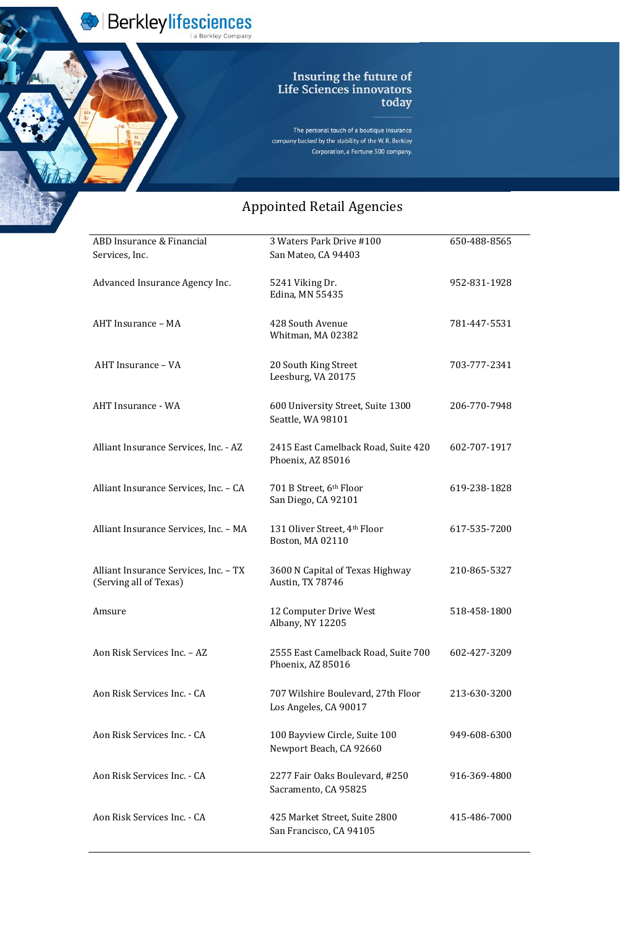Berkleylifesciences

The personal touch of a boutique insurance company backed by the stability of the W.R. Berkley Corporation, a Fortune 500 company.

| ABD Insurance & Financial                                       | 3 Waters Park Drive #100                                   | 650-488-8565 |
|-----------------------------------------------------------------|------------------------------------------------------------|--------------|
| Services, Inc.                                                  | San Mateo, CA 94403                                        |              |
| Advanced Insurance Agency Inc.                                  | 5241 Viking Dr.<br>Edina, MN 55435                         | 952-831-1928 |
| AHT Insurance - MA                                              | 428 South Avenue<br>Whitman, MA 02382                      | 781-447-5531 |
| AHT Insurance - VA                                              | 20 South King Street<br>Leesburg, VA 20175                 | 703-777-2341 |
| <b>AHT Insurance - WA</b>                                       | 600 University Street, Suite 1300<br>Seattle, WA 98101     | 206-770-7948 |
| Alliant Insurance Services, Inc. - AZ                           | 2415 East Camelback Road, Suite 420<br>Phoenix, AZ 85016   | 602-707-1917 |
| Alliant Insurance Services, Inc. - CA                           | 701 B Street, 6th Floor<br>San Diego, CA 92101             | 619-238-1828 |
| Alliant Insurance Services, Inc. - MA                           | 131 Oliver Street, 4th Floor<br>Boston, MA 02110           | 617-535-7200 |
| Alliant Insurance Services, Inc. - TX<br>(Serving all of Texas) | 3600 N Capital of Texas Highway<br><b>Austin, TX 78746</b> | 210-865-5327 |
| Amsure                                                          | 12 Computer Drive West<br>Albany, NY 12205                 | 518-458-1800 |

| Aon Risk Services Inc. - AZ | 2555 East Camelback Road, Suite 700<br>Phoenix, AZ 85016    | 602-427-3209 |
|-----------------------------|-------------------------------------------------------------|--------------|
| Aon Risk Services Inc. - CA | 707 Wilshire Boulevard, 27th Floor<br>Los Angeles, CA 90017 | 213-630-3200 |
| Aon Risk Services Inc. - CA | 100 Bayview Circle, Suite 100<br>Newport Beach, CA 92660    | 949-608-6300 |
| Aon Risk Services Inc. - CA | 2277 Fair Oaks Boulevard, #250<br>Sacramento, CA 95825      | 916-369-4800 |
| Aon Risk Services Inc. - CA | 425 Market Street, Suite 2800<br>San Francisco, CA 94105    | 415-486-7000 |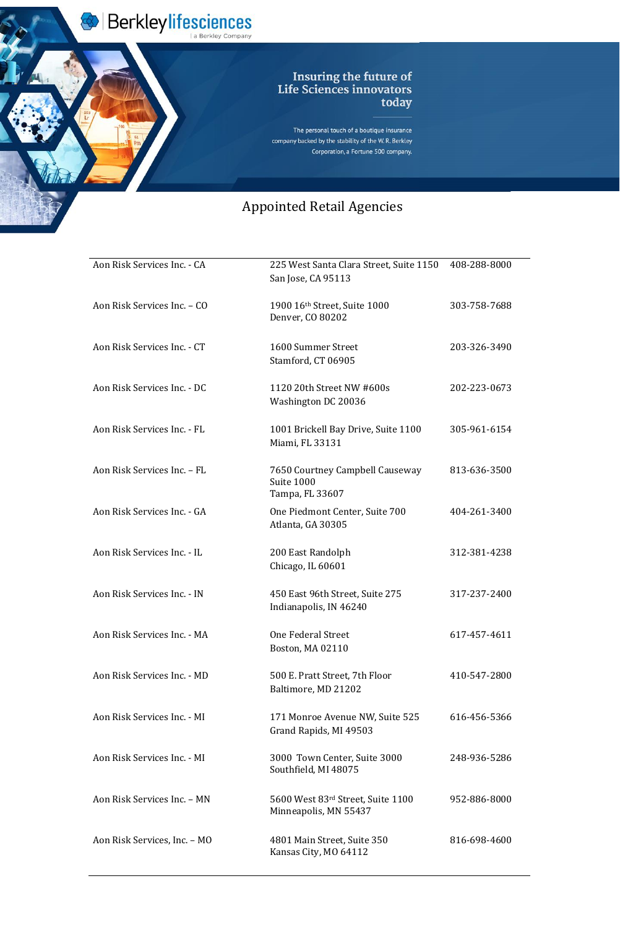Berkleylifesciences

The personal touch of a boutique insurance company backed by the stability of the W.R. Berkley Corporation, a Fortune 500 company.

## Appointed Retail Agencie Appointed Retail Agencies

| Aon Risk Services Inc. - CA | 225 West Santa Clara Street, Suite 1150<br>San Jose, CA 95113    | 408-288-8000 |
|-----------------------------|------------------------------------------------------------------|--------------|
| Aon Risk Services Inc. - CO | 1900 16th Street, Suite 1000<br>Denver, CO 80202                 | 303-758-7688 |
| Aon Risk Services Inc. - CT | 1600 Summer Street<br>Stamford, CT 06905                         | 203-326-3490 |
| Aon Risk Services Inc. - DC | 1120 20th Street NW #600s<br>Washington DC 20036                 | 202-223-0673 |
| Aon Risk Services Inc. - FL | 1001 Brickell Bay Drive, Suite 1100<br>Miami, FL 33131           | 305-961-6154 |
| Aon Risk Services Inc. - FL | 7650 Courtney Campbell Causeway<br>Suite 1000<br>Tampa, FL 33607 | 813-636-3500 |
| Aon Risk Services Inc. - GA | One Piedmont Center, Suite 700<br>Atlanta, GA 30305              | 404-261-3400 |
| Aon Risk Services Inc. - IL | 200 East Randolph<br>Chicago, IL 60601                           | 312-381-4238 |
| Aon Risk Services Inc. - IN | 450 East 96th Street, Suite 275<br>Indianapolis, IN 46240        | 317-237-2400 |
| Aon Risk Services Inc. - MA | <b>One Federal Street</b>                                        | 617-457-4611 |

Boston, MA 02110

| Aon Risk Services Inc. - MD  | 500 E. Pratt Street, 7th Floor<br>Baltimore, MD 21202      | 410-547-2800 |
|------------------------------|------------------------------------------------------------|--------------|
| Aon Risk Services Inc. - MI  | 171 Monroe Avenue NW, Suite 525<br>Grand Rapids, MI 49503  | 616-456-5366 |
| Aon Risk Services Inc. - MI  | 3000 Town Center, Suite 3000<br>Southfield, MI 48075       | 248-936-5286 |
| Aon Risk Services Inc. - MN  | 5600 West 83rd Street, Suite 1100<br>Minneapolis, MN 55437 | 952-886-8000 |
| Aon Risk Services, Inc. - MO | 4801 Main Street, Suite 350<br>Kansas City, MO 64112       | 816-698-4600 |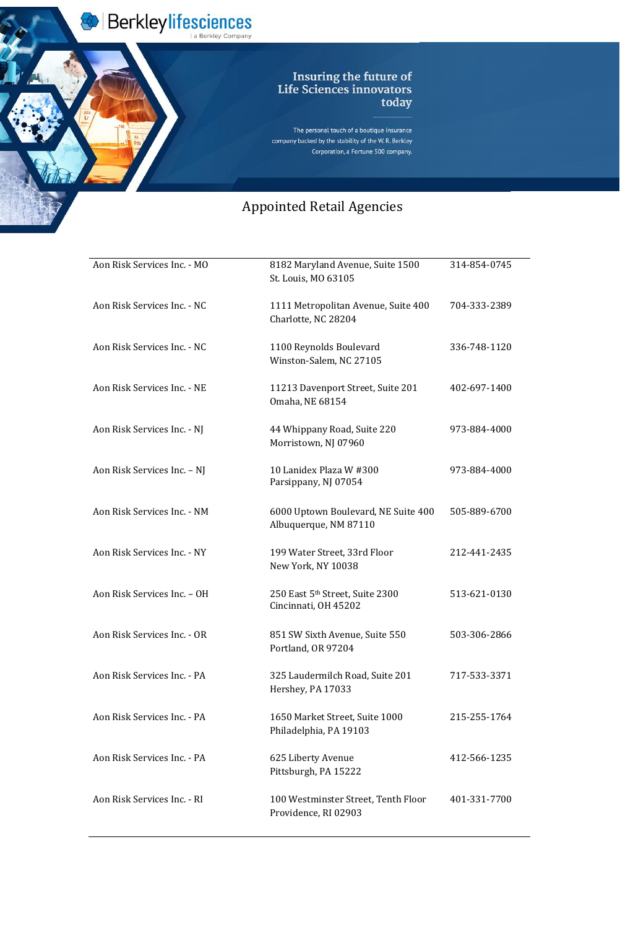Berkleylifesciences

The personal touch of a boutique insurance company backed by the stability of the W.R. Berkley Corporation, a Fortune 500 company.

| Aon Risk Services Inc. - MO | 8182 Maryland Avenue, Suite 1500<br>St. Louis, MO 63105      | 314-854-0745 |
|-----------------------------|--------------------------------------------------------------|--------------|
| Aon Risk Services Inc. - NC | 1111 Metropolitan Avenue, Suite 400<br>Charlotte, NC 28204   | 704-333-2389 |
| Aon Risk Services Inc. - NC | 1100 Reynolds Boulevard<br>Winston-Salem, NC 27105           | 336-748-1120 |
| Aon Risk Services Inc. - NE | 11213 Davenport Street, Suite 201<br>Omaha, NE 68154         | 402-697-1400 |
| Aon Risk Services Inc. - NJ | 44 Whippany Road, Suite 220<br>Morristown, NJ 07960          | 973-884-4000 |
| Aon Risk Services Inc. - NJ | 10 Lanidex Plaza W #300<br>Parsippany, NJ 07054              | 973-884-4000 |
| Aon Risk Services Inc. - NM | 6000 Uptown Boulevard, NE Suite 400<br>Albuquerque, NM 87110 | 505-889-6700 |
| Aon Risk Services Inc. - NY | 199 Water Street, 33rd Floor<br>New York, NY 10038           | 212-441-2435 |
| Aon Risk Services Inc. - OH | 250 East 5th Street, Suite 2300<br>Cincinnati, OH 45202      | 513-621-0130 |
| Aon Risk Services Inc. - OR | 851 SW Sixth Avenue, Suite 550<br>Portland, OR 97204         | 503-306-2866 |
| Aon Risk Services Inc. - PA | 325 Laudermilch Road, Suite 201<br>Hershey, PA 17033         | 717-533-3371 |
| Aon Risk Services Inc. - PA | 1650 Market Street, Suite 1000<br>Philadelphia, PA 19103     | 215-255-1764 |
| Aon Risk Services Inc. - PA | 625 Liberty Avenue<br>Pittsburgh, PA 15222                   | 412-566-1235 |
| Aon Risk Services Inc. - RI | 100 Westminster Street, Tenth Floor<br>Providence, RI 02903  | 401-331-7700 |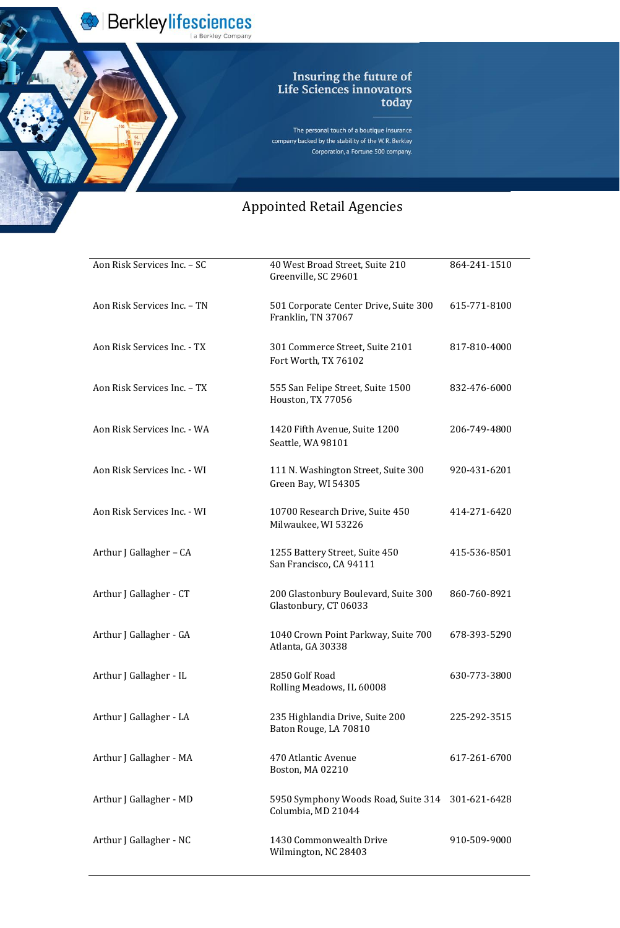Berkleylifesciences

The personal touch of a boutique insurance company backed by the stability of the W.R. Berkley Corporation, a Fortune 500 company.

## Appointed Retail Agencie Appointed Retail Agencies

| Aon Risk Services Inc. - SC | 40 West Broad Street, Suite 210<br>Greenville, SC 29601       | 864-241-1510 |
|-----------------------------|---------------------------------------------------------------|--------------|
| Aon Risk Services Inc. - TN | 501 Corporate Center Drive, Suite 300<br>Franklin, TN 37067   | 615-771-8100 |
| Aon Risk Services Inc. - TX | 301 Commerce Street, Suite 2101<br>Fort Worth, TX 76102       | 817-810-4000 |
| Aon Risk Services Inc. - TX | 555 San Felipe Street, Suite 1500<br>Houston, TX 77056        | 832-476-6000 |
| Aon Risk Services Inc. - WA | 1420 Fifth Avenue, Suite 1200<br>Seattle, WA 98101            | 206-749-4800 |
| Aon Risk Services Inc. - WI | 111 N. Washington Street, Suite 300<br>Green Bay, WI 54305    | 920-431-6201 |
| Aon Risk Services Inc. - WI | 10700 Research Drive, Suite 450<br>Milwaukee, WI 53226        | 414-271-6420 |
| Arthur J Gallagher – CA     | 1255 Battery Street, Suite 450<br>San Francisco, CA 94111     | 415-536-8501 |
| Arthur J Gallagher - CT     | 200 Glastonbury Boulevard, Suite 300<br>Glastonbury, CT 06033 | 860-760-8921 |
| Arthur J Gallagher - GA     | 1040 Crown Point Parkway, Suite 700                           | 678-393-5290 |

Atlanta, GA 30338

| Arthur J Gallagher - IL | 2850 Golf Road<br>Rolling Meadows, IL 60008                            | 630-773-3800 |
|-------------------------|------------------------------------------------------------------------|--------------|
| Arthur J Gallagher - LA | 235 Highlandia Drive, Suite 200<br>Baton Rouge, LA 70810               | 225-292-3515 |
| Arthur J Gallagher - MA | 470 Atlantic Avenue<br>Boston, MA 02210                                | 617-261-6700 |
| Arthur J Gallagher - MD | 5950 Symphony Woods Road, Suite 314 301-621-6428<br>Columbia, MD 21044 |              |
| Arthur J Gallagher - NC | 1430 Commonwealth Drive<br>Wilmington, NC 28403                        | 910-509-9000 |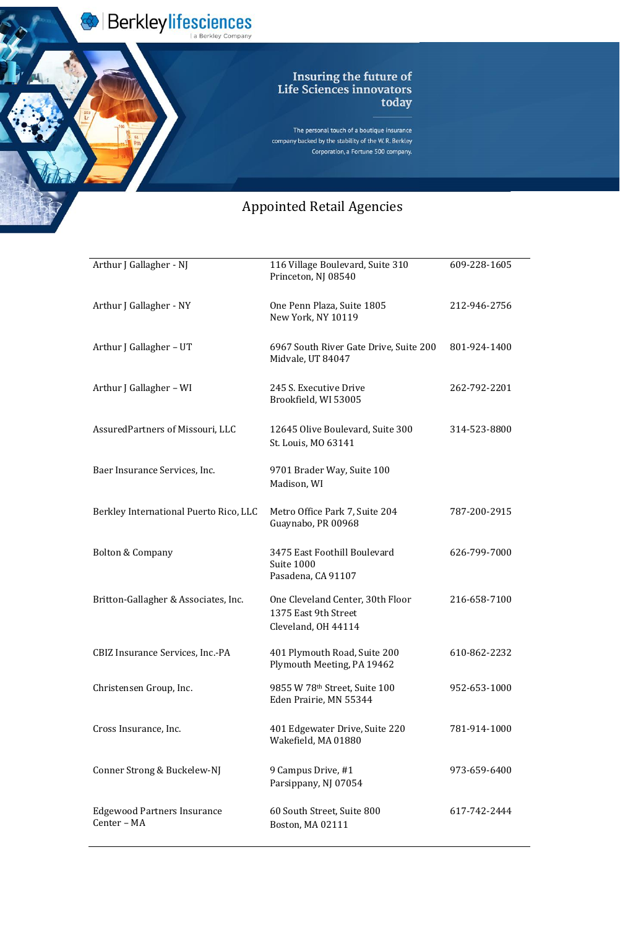

Berkleylifesciences

The personal touch of a boutique insurance company backed by the stability of the W.R. Berkley Corporation, a Fortune 500 company.

| Arthur J Gallagher - NJ                | 116 Village Boulevard, Suite 310<br>Princeton, NJ 08540                         | 609-228-1605 |
|----------------------------------------|---------------------------------------------------------------------------------|--------------|
| Arthur J Gallagher - NY                | One Penn Plaza, Suite 1805<br>New York, NY 10119                                | 212-946-2756 |
| Arthur J Gallagher – UT                | 6967 South River Gate Drive, Suite 200<br>Midvale, UT 84047                     | 801-924-1400 |
| Arthur J Gallagher – WI                | 245 S. Executive Drive<br>Brookfield, WI 53005                                  | 262-792-2201 |
| Assured Partners of Missouri, LLC      | 12645 Olive Boulevard, Suite 300<br>St. Louis, MO 63141                         | 314-523-8800 |
| Baer Insurance Services, Inc.          | 9701 Brader Way, Suite 100<br>Madison, WI                                       |              |
| Berkley International Puerto Rico, LLC | Metro Office Park 7, Suite 204<br>Guaynabo, PR 00968                            | 787-200-2915 |
| <b>Bolton &amp; Company</b>            | 3475 East Foothill Boulevard<br>Suite 1000<br>Pasadena, CA 91107                | 626-799-7000 |
| Britton-Gallagher & Associates, Inc.   | One Cleveland Center, 30th Floor<br>1375 East 9th Street<br>Cleveland, OH 44114 | 216-658-7100 |

| <b>CBIZ Insurance Services, Inc.-PA</b>           | 401 Plymouth Road, Suite 200<br>Plymouth Meeting, PA 19462 | 610-862-2232 |
|---------------------------------------------------|------------------------------------------------------------|--------------|
| Christensen Group, Inc.                           | 9855 W 78th Street, Suite 100<br>Eden Prairie, MN 55344    | 952-653-1000 |
| Cross Insurance, Inc.                             | 401 Edgewater Drive, Suite 220<br>Wakefield, MA 01880      | 781-914-1000 |
| Conner Strong & Buckelew-NJ                       | 9 Campus Drive, #1<br>Parsippany, NJ 07054                 | 973-659-6400 |
| <b>Edgewood Partners Insurance</b><br>Center - MA | 60 South Street, Suite 800<br>Boston, MA 02111             | 617-742-2444 |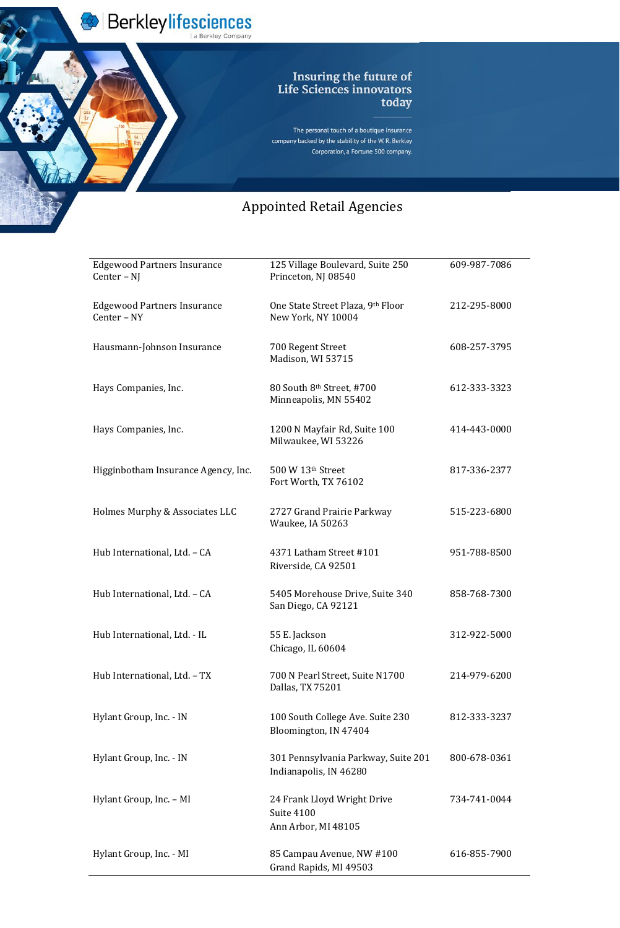Berkleylifesciences

The personal touch of a boutique insurance company backed by the stability of the W.R. Berkley Corporation, a Fortune 500 company.

| <b>Edgewood Partners Insurance</b><br>Center – NJ | 125 Village Boulevard, Suite 250<br>Princeton, NJ 08540 | 609-987-7086 |
|---------------------------------------------------|---------------------------------------------------------|--------------|
| <b>Edgewood Partners Insurance</b><br>Center - NY | One State Street Plaza, 9th Floor<br>New York, NY 10004 | 212-295-8000 |
| Hausmann-Johnson Insurance                        | 700 Regent Street<br>Madison, WI 53715                  | 608-257-3795 |
| Hays Companies, Inc.                              | 80 South 8th Street, #700<br>Minneapolis, MN 55402      | 612-333-3323 |
| Hays Companies, Inc.                              | 1200 N Mayfair Rd, Suite 100<br>Milwaukee, WI 53226     | 414-443-0000 |
| Higginbotham Insurance Agency, Inc.               | 500 W 13th Street<br>Fort Worth, TX 76102               | 817-336-2377 |
| Holmes Murphy & Associates LLC                    | 2727 Grand Prairie Parkway<br>Waukee, IA 50263          | 515-223-6800 |
| Hub International, Ltd. - CA                      | 4371 Latham Street #101<br>Riverside, CA 92501          | 951-788-8500 |
| Hub International, Ltd. - CA                      | 5405 Morehouse Drive, Suite 340<br>San Diego, CA 92121  | 858-768-7300 |
| Hub International, Ltd. - IL                      | 55 E. Jackson                                           | 312-922-5000 |

| Chicago, IL 60604 |  |
|-------------------|--|
|-------------------|--|

| Hub International, Ltd. - TX | 700 N Pearl Street, Suite N1700<br>Dallas, TX 75201              | 214-979-6200 |
|------------------------------|------------------------------------------------------------------|--------------|
| Hylant Group, Inc. - IN      | 100 South College Ave. Suite 230<br>Bloomington, IN 47404        | 812-333-3237 |
| Hylant Group, Inc. - IN      | 301 Pennsylvania Parkway, Suite 201<br>Indianapolis, IN 46280    | 800-678-0361 |
| Hylant Group, Inc. – MI      | 24 Frank Lloyd Wright Drive<br>Suite 4100<br>Ann Arbor, MI 48105 | 734-741-0044 |
| Hylant Group, Inc. - MI      | 85 Campau Avenue, NW #100<br>Grand Rapids, MI 49503              | 616-855-7900 |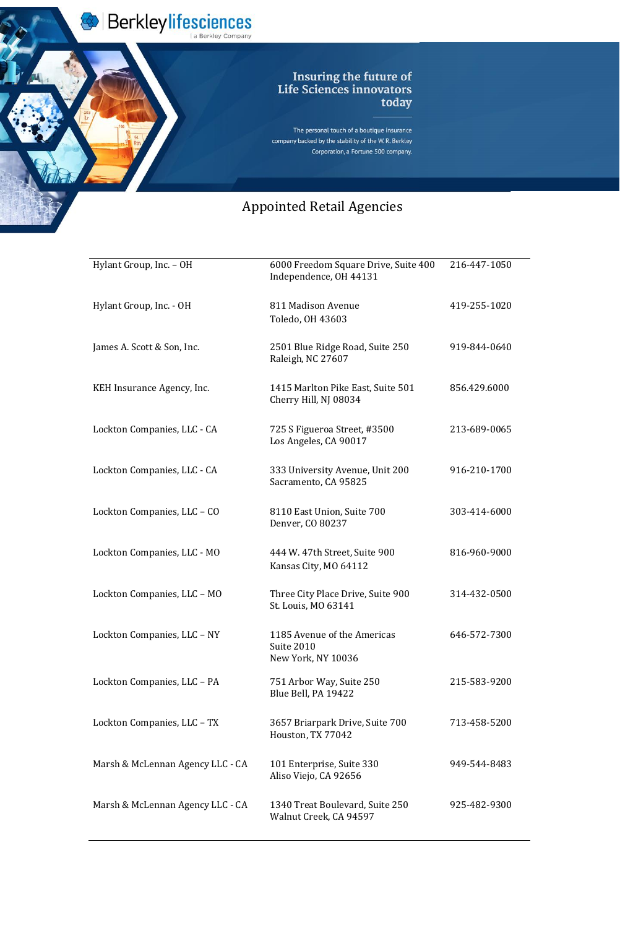

Berkleylifesciences

The personal touch of a boutique insurance company backed by the stability of the W.R. Berkley Corporation, a Fortune 500 company.

| Hylant Group, Inc. - OH          | 6000 Freedom Square Drive, Suite 400<br>Independence, OH 44131  | 216-447-1050 |
|----------------------------------|-----------------------------------------------------------------|--------------|
| Hylant Group, Inc. - OH          | 811 Madison Avenue<br>Toledo, OH 43603                          | 419-255-1020 |
| James A. Scott & Son, Inc.       | 2501 Blue Ridge Road, Suite 250<br>Raleigh, NC 27607            | 919-844-0640 |
| KEH Insurance Agency, Inc.       | 1415 Marlton Pike East, Suite 501<br>Cherry Hill, NJ 08034      | 856.429.6000 |
| Lockton Companies, LLC - CA      | 725 S Figueroa Street, #3500<br>Los Angeles, CA 90017           | 213-689-0065 |
| Lockton Companies, LLC - CA      | 333 University Avenue, Unit 200<br>Sacramento, CA 95825         | 916-210-1700 |
| Lockton Companies, LLC - CO      | 8110 East Union, Suite 700<br>Denver, CO 80237                  | 303-414-6000 |
| Lockton Companies, LLC - MO      | 444 W. 47th Street, Suite 900<br>Kansas City, MO 64112          | 816-960-9000 |
| Lockton Companies, LLC - MO      | Three City Place Drive, Suite 900<br>St. Louis, MO 63141        | 314-432-0500 |
| Lockton Companies, LLC - NY      | 1185 Avenue of the Americas<br>Suite 2010<br>New York, NY 10036 | 646-572-7300 |
| Lockton Companies, LLC - PA      | 751 Arbor Way, Suite 250<br>Blue Bell, PA 19422                 | 215-583-9200 |
| Lockton Companies, LLC - TX      | 3657 Briarpark Drive, Suite 700<br>Houston, TX 77042            | 713-458-5200 |
| Marsh & McLennan Agency LLC - CA | 101 Enterprise, Suite 330<br>Aliso Viejo, CA 92656              | 949-544-8483 |
| Marsh & McLennan Agency LLC - CA | 1340 Treat Boulevard, Suite 250<br>Walnut Creek, CA 94597       | 925-482-9300 |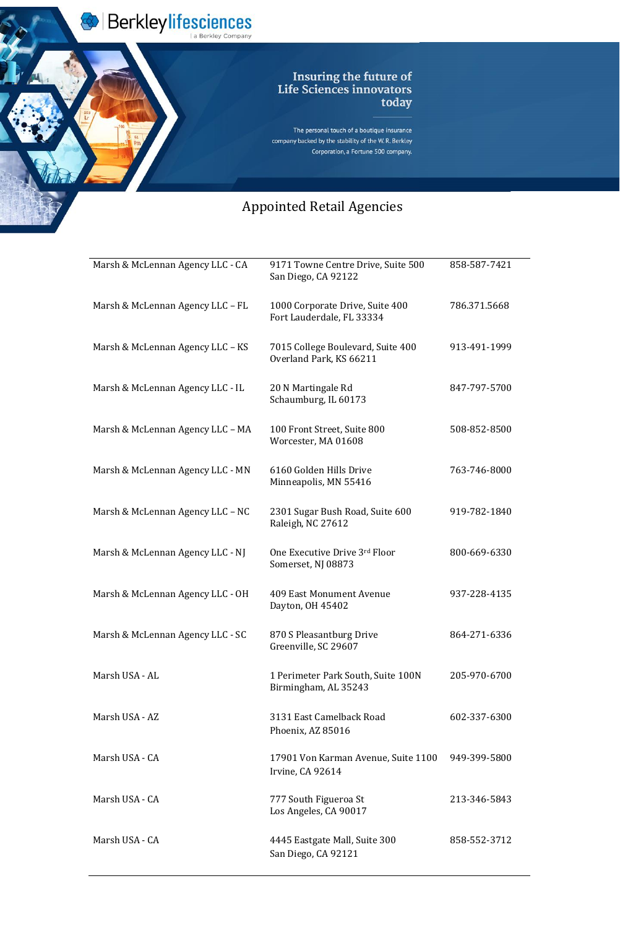

Berkleylifesciences

The personal touch of a boutique insurance company backed by the stability of the W.R. Berkley Corporation, a Fortune 500 company.

| Marsh & McLennan Agency LLC - CA | 9171 Towne Centre Drive, Suite 500<br>San Diego, CA 92122    | 858-587-7421 |
|----------------------------------|--------------------------------------------------------------|--------------|
| Marsh & McLennan Agency LLC - FL | 1000 Corporate Drive, Suite 400<br>Fort Lauderdale, FL 33334 | 786.371.5668 |
| Marsh & McLennan Agency LLC - KS | 7015 College Boulevard, Suite 400<br>Overland Park, KS 66211 | 913-491-1999 |
| Marsh & McLennan Agency LLC - IL | 20 N Martingale Rd<br>Schaumburg, IL 60173                   | 847-797-5700 |
| Marsh & McLennan Agency LLC - MA | 100 Front Street, Suite 800<br>Worcester, MA 01608           | 508-852-8500 |
| Marsh & McLennan Agency LLC - MN | 6160 Golden Hills Drive<br>Minneapolis, MN 55416             | 763-746-8000 |
| Marsh & McLennan Agency LLC - NC | 2301 Sugar Bush Road, Suite 600<br>Raleigh, NC 27612         | 919-782-1840 |
| Marsh & McLennan Agency LLC - NJ | One Executive Drive 3rd Floor<br>Somerset, NJ 08873          | 800-669-6330 |
| Marsh & McLennan Agency LLC - OH | 409 East Monument Avenue<br>Dayton, OH 45402                 | 937-228-4135 |
| Marsh & McLennan Agency LLC - SC | 870 S Pleasantburg Drive                                     | 864-271-6336 |

| Marsh USA - AL | 1 Perimeter Park South, Suite 100N<br>Birmingham, AL 35243 | 205-970-6700 |
|----------------|------------------------------------------------------------|--------------|
| Marsh USA - AZ | 3131 East Camelback Road<br>Phoenix, AZ 85016              | 602-337-6300 |
| Marsh USA - CA | 17901 Von Karman Avenue, Suite 1100<br>Irvine, CA 92614    | 949-399-5800 |
| Marsh USA - CA | 777 South Figueroa St<br>Los Angeles, CA 90017             | 213-346-5843 |
| Marsh USA - CA | 4445 Eastgate Mall, Suite 300<br>San Diego, CA 92121       | 858-552-3712 |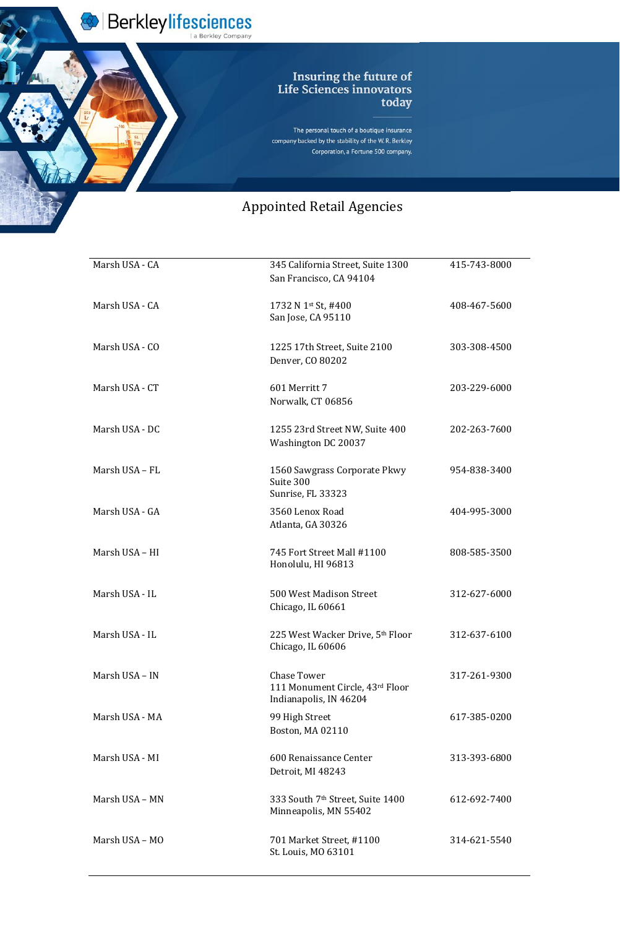Berkleylifesciences

The personal touch of a boutique insurance company backed by the stability of the W.R. Berkley Corporation, a Fortune 500 company.

#### Appointed Retail Agencie Appointed Retail Agencies

| Marsh USA - CA | 345 California Street, Suite 1300<br>San Francisco, CA 94104   | 415-743-8000 |
|----------------|----------------------------------------------------------------|--------------|
| Marsh USA - CA | 1732 N 1st St, #400<br>San Jose, CA 95110                      | 408-467-5600 |
| Marsh USA - CO | 1225 17th Street, Suite 2100<br>Denver, CO 80202               | 303-308-4500 |
| Marsh USA - CT | 601 Merritt 7<br>Norwalk, CT 06856                             | 203-229-6000 |
| Marsh USA - DC | 1255 23rd Street NW, Suite 400<br>Washington DC 20037          | 202-263-7600 |
| Marsh USA - FL | 1560 Sawgrass Corporate Pkwy<br>Suite 300<br>Sunrise, FL 33323 | 954-838-3400 |
| Marsh USA - GA | 3560 Lenox Road<br>Atlanta, GA 30326                           | 404-995-3000 |
| Marsh USA - HI | 745 Fort Street Mall #1100<br>Honolulu, HI 96813               | 808-585-3500 |
| Marsh USA - IL | 500 West Madison Street<br>Chicago, IL 60661                   | 312-627-6000 |
| Marsh USA - IL | 225 West Wacker Drive, 5th Floor                               | 312-637-6100 |

Chicago, IL 60606

| Marsh USA – IN | Chase Tower<br>111 Monument Circle, 43rd Floor<br>Indianapolis, IN 46204 | 317-261-9300 |
|----------------|--------------------------------------------------------------------------|--------------|
| Marsh USA - MA | 99 High Street<br>Boston, MA 02110                                       | 617-385-0200 |
| Marsh USA - MI | 600 Renaissance Center<br>Detroit, MI 48243                              | 313-393-6800 |
| Marsh USA – MN | 333 South 7th Street, Suite 1400<br>Minneapolis, MN 55402                | 612-692-7400 |
| Marsh USA – MO | 701 Market Street, #1100<br>St. Louis, MO 63101                          | 314-621-5540 |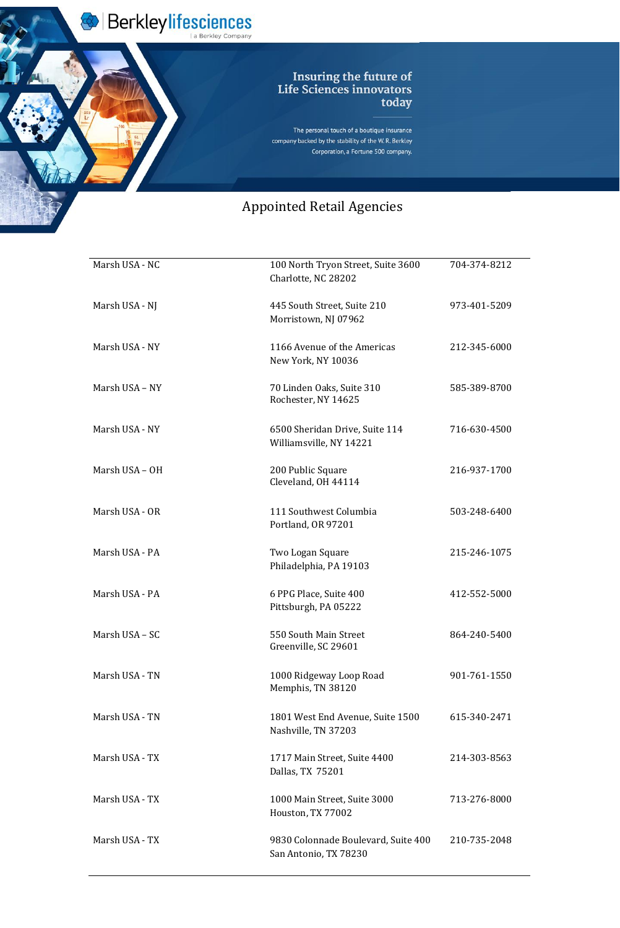Berkleylifesciences

The personal touch of a boutique insurance company backed by the stability of the W.R. Berkley Corporation, a Fortune 500 company.

#### Appointed Retail Agencie Appointed Retail Agencies

| Marsh USA - NC | 100 North Tryon Street, Suite 3600<br>Charlotte, NC 28202 | 704-374-8212 |
|----------------|-----------------------------------------------------------|--------------|
| Marsh USA - NJ | 445 South Street, Suite 210<br>Morristown, NJ 07962       | 973-401-5209 |
| Marsh USA - NY | 1166 Avenue of the Americas<br>New York, NY 10036         | 212-345-6000 |
| Marsh USA - NY | 70 Linden Oaks, Suite 310<br>Rochester, NY 14625          | 585-389-8700 |
| Marsh USA - NY | 6500 Sheridan Drive, Suite 114<br>Williamsville, NY 14221 | 716-630-4500 |
| Marsh USA - OH | 200 Public Square<br>Cleveland, OH 44114                  | 216-937-1700 |
| Marsh USA - OR | 111 Southwest Columbia<br>Portland, OR 97201              | 503-248-6400 |
| Marsh USA - PA | Two Logan Square<br>Philadelphia, PA 19103                | 215-246-1075 |
| Marsh USA - PA | 6 PPG Place, Suite 400<br>Pittsburgh, PA 05222            | 412-552-5000 |
| Marsh USA - SC | 550 South Main Street                                     | 864-240-5400 |

Greenville, SC 29601

| Marsh USA - TN | 1000 Ridgeway Loop Road<br>Memphis, TN 38120                 | 901-761-1550 |
|----------------|--------------------------------------------------------------|--------------|
| Marsh USA - TN | 1801 West End Avenue, Suite 1500<br>Nashville, TN 37203      | 615-340-2471 |
| Marsh USA - TX | 1717 Main Street, Suite 4400<br>Dallas, TX 75201             | 214-303-8563 |
| Marsh USA - TX | 1000 Main Street, Suite 3000<br>Houston, TX 77002            | 713-276-8000 |
| Marsh USA - TX | 9830 Colonnade Boulevard, Suite 400<br>San Antonio, TX 78230 | 210-735-2048 |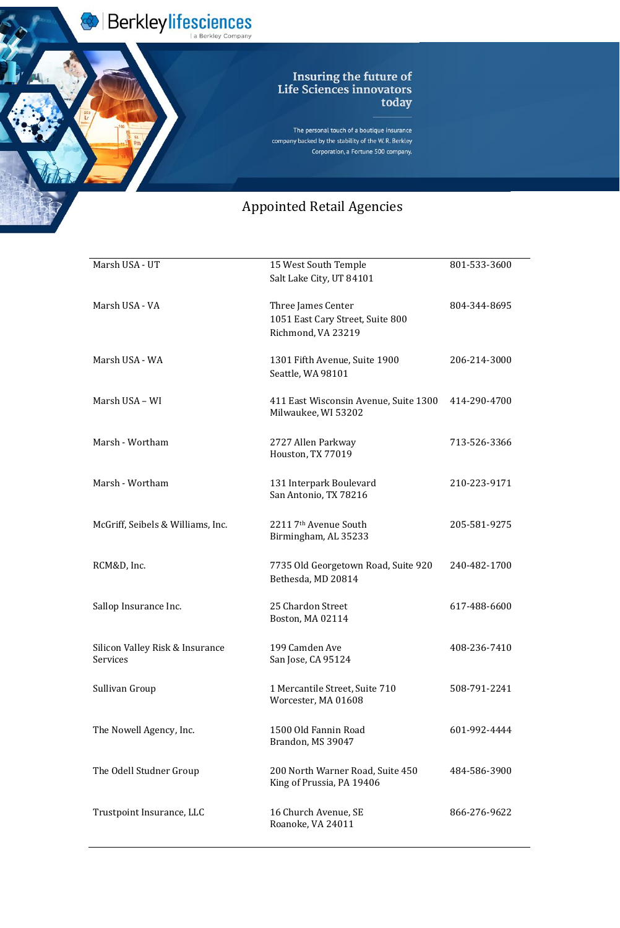Berkleylifesciences

The personal touch of a boutique insurance company backed by the stability of the W.R. Berkley Corporation, a Fortune 500 company.

| Marsh USA - UT                              | 15 West South Temple<br>Salt Lake City, UT 84101                             | 801-533-3600 |
|---------------------------------------------|------------------------------------------------------------------------------|--------------|
| Marsh USA - VA                              | Three James Center<br>1051 East Cary Street, Suite 800<br>Richmond, VA 23219 | 804-344-8695 |
| Marsh USA - WA                              | 1301 Fifth Avenue, Suite 1900<br>Seattle, WA 98101                           | 206-214-3000 |
| Marsh USA - WI                              | 411 East Wisconsin Avenue, Suite 1300<br>Milwaukee, WI 53202                 | 414-290-4700 |
| Marsh - Wortham                             | 2727 Allen Parkway<br>Houston, TX 77019                                      | 713-526-3366 |
| Marsh - Wortham                             | 131 Interpark Boulevard<br>San Antonio, TX 78216                             | 210-223-9171 |
| McGriff, Seibels & Williams, Inc.           | 2211 7th Avenue South<br>Birmingham, AL 35233                                | 205-581-9275 |
| RCM&D, Inc.                                 | 7735 Old Georgetown Road, Suite 920<br>Bethesda, MD 20814                    | 240-482-1700 |
| Sallop Insurance Inc.                       | 25 Chardon Street<br>Boston, MA 02114                                        | 617-488-6600 |
| Silicon Valley Risk & Insurance<br>Services | 199 Camden Ave<br>San Jose, CA 95124                                         | 408-236-7410 |
| Sullivan Group                              | 1 Mercantile Street, Suite 710<br>Worcester, MA 01608                        | 508-791-2241 |
| The Nowell Agency, Inc.                     | 1500 Old Fannin Road<br>Brandon, MS 39047                                    | 601-992-4444 |
| The Odell Studner Group                     | 200 North Warner Road, Suite 450<br>King of Prussia, PA 19406                | 484-586-3900 |
| Trustpoint Insurance, LLC                   | 16 Church Avenue, SE<br>Roanoke, VA 24011                                    | 866-276-9622 |
|                                             |                                                                              |              |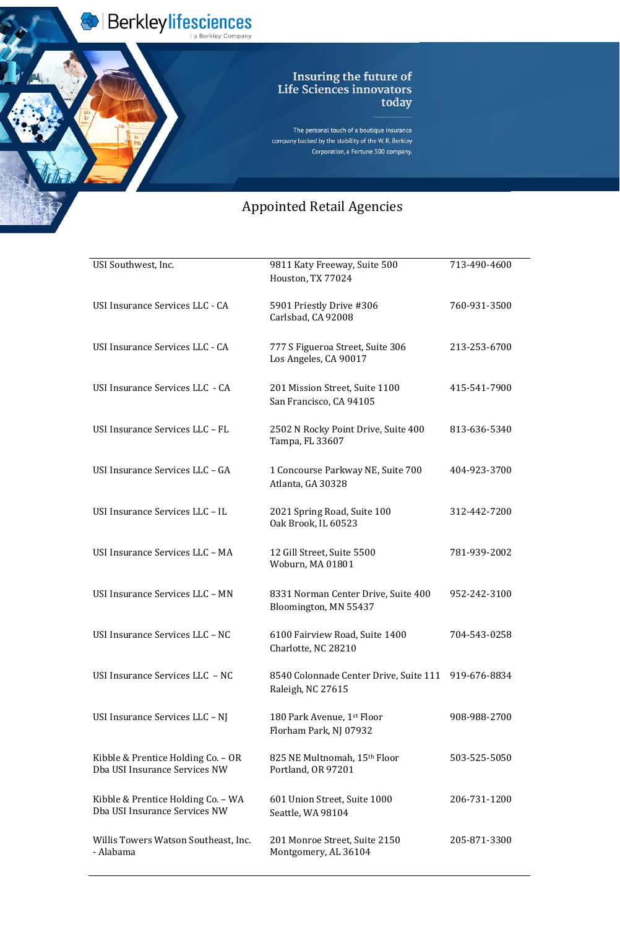Berkleylifesciences

The personal touch of a boutique insurance company backed by the stability of the W.R. Berkley Corporation, a Fortune 500 company.

## Appointed Retail Agencie Appointed Retail Agencies

| USI Southwest, Inc.             | 9811 Katy Freeway, Suite 500<br>Houston, TX 77024            | 713-490-4600 |
|---------------------------------|--------------------------------------------------------------|--------------|
| USI Insurance Services LLC - CA | 5901 Priestly Drive #306<br>Carlsbad, CA 92008               | 760-931-3500 |
| USI Insurance Services LLC - CA | 777 S Figueroa Street, Suite 306<br>Los Angeles, CA 90017    | 213-253-6700 |
| USI Insurance Services LLC - CA | 201 Mission Street, Suite 1100<br>San Francisco, CA 94105    | 415-541-7900 |
| USI Insurance Services LLC - FL | 2502 N Rocky Point Drive, Suite 400<br>Tampa, FL 33607       | 813-636-5340 |
| USI Insurance Services LLC - GA | 1 Concourse Parkway NE, Suite 700<br>Atlanta, GA 30328       | 404-923-3700 |
| USI Insurance Services LLC - IL | 2021 Spring Road, Suite 100<br>Oak Brook, IL 60523           | 312-442-7200 |
| USI Insurance Services LLC - MA | 12 Gill Street, Suite 5500<br>Woburn, MA 01801               | 781-939-2002 |
| USI Insurance Services LLC - MN | 8331 Norman Center Drive, Suite 400<br>Bloomington, MN 55437 | 952-242-3100 |
| USI Insurance Services LLC - NC | 6100 Fairview Road, Suite 1400                               | 704-543-0258 |

Charlotte, NC 28210

| USI Insurance Services LLC - NC                                      | 8540 Colonnade Center Drive, Suite 111 919-676-8834<br>Raleigh, NC 27615 |              |
|----------------------------------------------------------------------|--------------------------------------------------------------------------|--------------|
| USI Insurance Services LLC – NJ                                      | 180 Park Avenue, 1 <sup>st</sup> Floor<br>Florham Park, NJ 07932         | 908-988-2700 |
| Kibble & Prentice Holding $Co - OR$<br>Dba USI Insurance Services NW | 825 NE Multnomah, 15th Floor<br>Portland, OR 97201                       | 503-525-5050 |
| Kibble & Prentice Holding Co. – WA<br>Dba USI Insurance Services NW  | 601 Union Street, Suite 1000<br>Seattle, WA 98104                        | 206-731-1200 |
| Willis Towers Watson Southeast, Inc.<br>- Alabama                    | 201 Monroe Street, Suite 2150<br>Montgomery, AL 36104                    | 205-871-3300 |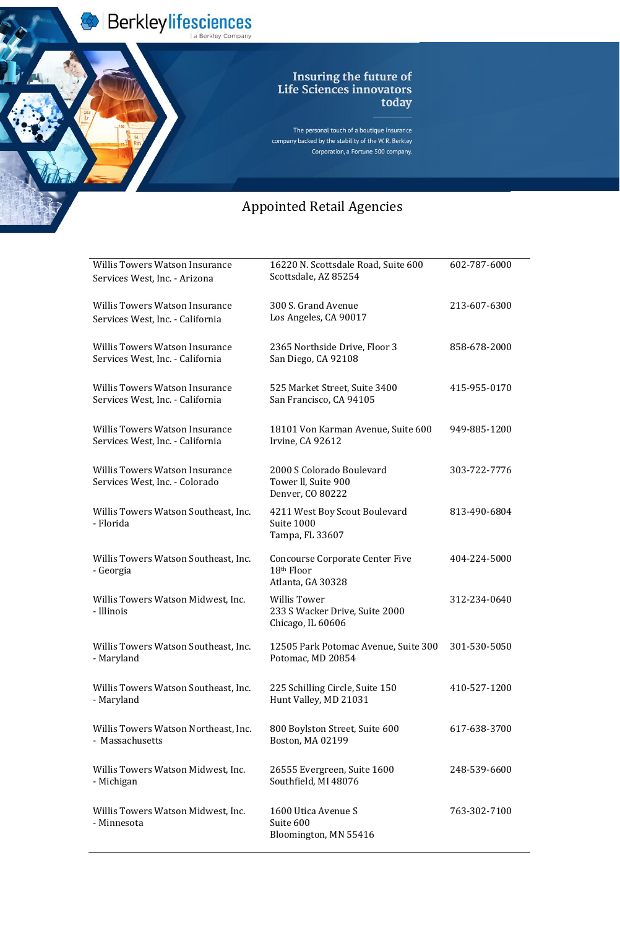Berkleylifesciences

The personal touch of a boutique insurance company backed by the stability of the W.R. Berkley Corporation, a Fortune 500 company.

| <b>Willis Towers Watson Insurance</b><br>Services West, Inc. - Arizona    | 16220 N. Scottsdale Road, Suite 600<br>Scottsdale, AZ 85254                           | 602-787-6000 |
|---------------------------------------------------------------------------|---------------------------------------------------------------------------------------|--------------|
| <b>Willis Towers Watson Insurance</b><br>Services West, Inc. - California | 300 S. Grand Avenue<br>Los Angeles, CA 90017                                          | 213-607-6300 |
| <b>Willis Towers Watson Insurance</b><br>Services West, Inc. - California | 2365 Northside Drive, Floor 3<br>San Diego, CA 92108                                  | 858-678-2000 |
| <b>Willis Towers Watson Insurance</b><br>Services West, Inc. - California | 525 Market Street, Suite 3400<br>San Francisco, CA 94105                              | 415-955-0170 |
| <b>Willis Towers Watson Insurance</b><br>Services West, Inc. - California | 18101 Von Karman Avenue, Suite 600<br>Irvine, CA 92612                                | 949-885-1200 |
| <b>Willis Towers Watson Insurance</b><br>Services West, Inc. - Colorado   | 2000 S Colorado Boulevard<br>Tower II, Suite 900<br>Denver, CO 80222                  | 303-722-7776 |
| Willis Towers Watson Southeast, Inc.<br>- Florida                         | 4211 West Boy Scout Boulevard<br>Suite 1000<br>Tampa, FL 33607                        | 813-490-6804 |
| Willis Towers Watson Southeast, Inc.<br>- Georgia                         | <b>Concourse Corporate Center Five</b><br>18 <sup>th</sup> Floor<br>Atlanta, GA 30328 | 404-224-5000 |
| Willis Towers Watson Midwest, Inc.<br>- Illinois                          | <b>Willis Tower</b><br>233 S Wacker Drive, Suite 2000<br>Chicago, IL 60606            | 312-234-0640 |
| Willis Towers Watson Southeast, Inc.<br>- Maryland                        | 12505 Park Potomac Avenue, Suite 300<br>Potomac, MD 20854                             | 301-530-5050 |
| Willis Towers Watson Southeast, Inc.<br>- Maryland                        | 225 Schilling Circle, Suite 150<br>Hunt Valley, MD 21031                              | 410-527-1200 |
| Willis Towers Watson Northeast, Inc.<br>- Massachusetts                   | 800 Boylston Street, Suite 600<br>Boston, MA 02199                                    | 617-638-3700 |
| Willis Towers Watson Midwest, Inc.<br>- Michigan                          | 26555 Evergreen, Suite 1600<br>Southfield, MI 48076                                   | 248-539-6600 |
| Willis Towers Watson Midwest, Inc.<br>- Minnesota                         | 1600 Utica Avenue S<br>Suite 600<br>Bloomington, MN 55416                             | 763-302-7100 |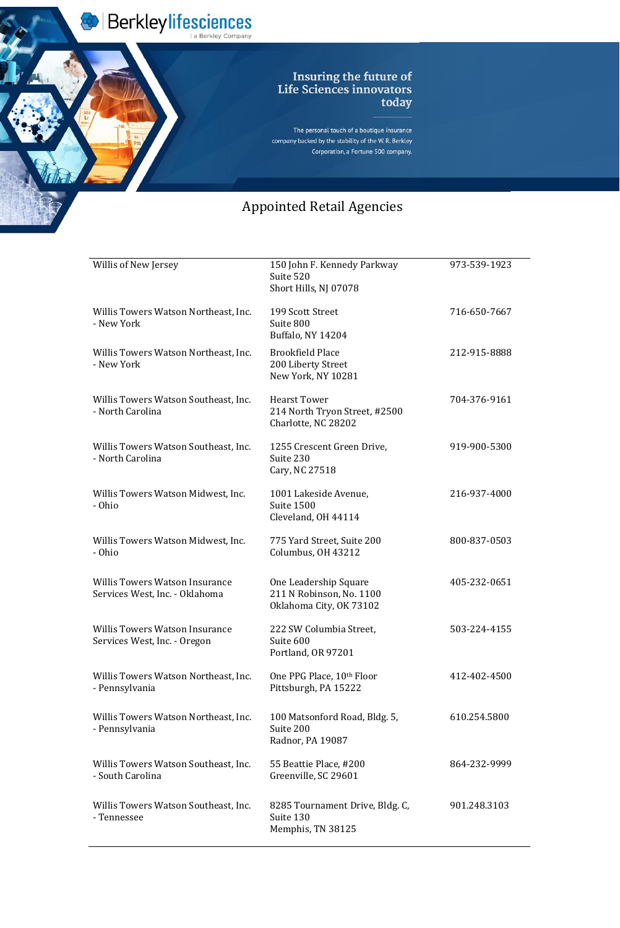Berkleylifesciences

The personal touch of a boutique insurance company backed by the stability of the W.R. Berkley Corporation, a Fortune 500 company.

| Willis of New Jersey                                                    | 150 John F. Kennedy Parkway<br>Suite 520<br>Short Hills, NJ 07078            | 973-539-1923 |
|-------------------------------------------------------------------------|------------------------------------------------------------------------------|--------------|
| Willis Towers Watson Northeast, Inc.<br>- New York                      | 199 Scott Street<br>Suite 800<br><b>Buffalo, NY 14204</b>                    | 716-650-7667 |
| Willis Towers Watson Northeast, Inc.<br>- New York                      | <b>Brookfield Place</b><br>200 Liberty Street<br>New York, NY 10281          | 212-915-8888 |
| Willis Towers Watson Southeast, Inc.<br>- North Carolina                | <b>Hearst Tower</b><br>214 North Tryon Street, #2500<br>Charlotte, NC 28202  | 704-376-9161 |
| Willis Towers Watson Southeast, Inc.<br>- North Carolina                | 1255 Crescent Green Drive,<br>Suite 230<br>Cary, NC 27518                    | 919-900-5300 |
| Willis Towers Watson Midwest, Inc.<br>- Ohio                            | 1001 Lakeside Avenue,<br>Suite 1500<br>Cleveland, OH 44114                   | 216-937-4000 |
| Willis Towers Watson Midwest, Inc.<br>- Ohio                            | 775 Yard Street, Suite 200<br>Columbus, OH 43212                             | 800-837-0503 |
| <b>Willis Towers Watson Insurance</b><br>Services West, Inc. - Oklahoma | One Leadership Square<br>211 N Robinson, No. 1100<br>Oklahoma City, OK 73102 | 405-232-0651 |
| <b>Willis Towers Watson Insurance</b><br>Services West, Inc. - Oregon   | 222 SW Columbia Street,<br>Suite 600<br>Portland, OR 97201                   | 503-224-4155 |
| Willis Towers Watson Northeast, Inc.<br>- Pennsylvania                  | One PPG Place, 10th Floor<br>Pittsburgh, PA 15222                            | 412-402-4500 |
| Willis Towers Watson Northeast, Inc.<br>- Pennsylvania                  | 100 Matsonford Road, Bldg. 5,<br>Suite 200<br>Radnor, PA 19087               | 610.254.5800 |
| Willis Towers Watson Southeast, Inc.<br>- South Carolina                | 55 Beattie Place, #200<br>Greenville, SC 29601                               | 864-232-9999 |
| Willis Towers Watson Southeast, Inc.<br>- Tennessee                     | 8285 Tournament Drive, Bldg. C,<br>Suite 130<br>Memphis, TN 38125            | 901.248.3103 |